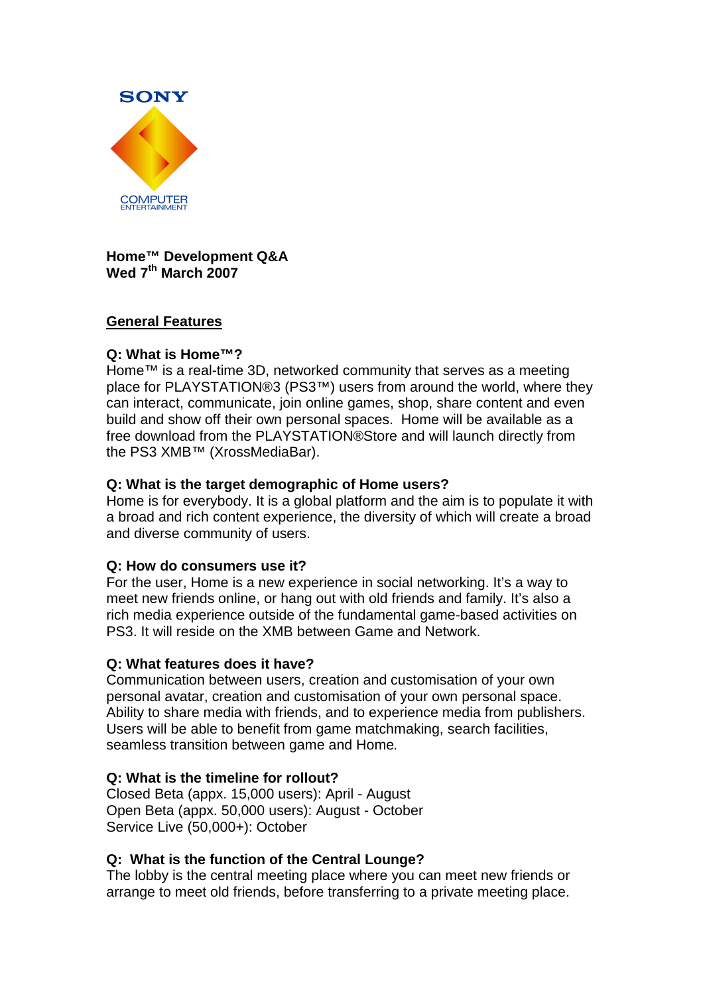

**Home™ Development Q&A Wed 7th March 2007** 

## **General Features**

## **Q: What is Home™?**

Home™ is a real-time 3D, networked community that serves as a meeting place for PLAYSTATION®3 (PS3™) users from around the world, where they can interact, communicate, join online games, shop, share content and even build and show off their own personal spaces. Home will be available as a free download from the PLAYSTATION®Store and will launch directly from the PS3 XMB™ (XrossMediaBar).

## **Q: What is the target demographic of Home users?**

Home is for everybody. It is a global platform and the aim is to populate it with a broad and rich content experience, the diversity of which will create a broad and diverse community of users.

## **Q: How do consumers use it?**

For the user, Home is a new experience in social networking. It's a way to meet new friends online, or hang out with old friends and family. It's also a rich media experience outside of the fundamental game-based activities on PS3. It will reside on the XMB between Game and Network.

## **Q: What features does it have?**

Communication between users, creation and customisation of your own personal avatar, creation and customisation of your own personal space. Ability to share media with friends, and to experience media from publishers. Users will be able to benefit from game matchmaking, search facilities, seamless transition between game and Home.

## **Q: What is the timeline for rollout?**

Closed Beta (appx. 15,000 users): April - August Open Beta (appx. 50,000 users): August - October Service Live (50,000+): October

## **Q: What is the function of the Central Lounge?**

The lobby is the central meeting place where you can meet new friends or arrange to meet old friends, before transferring to a private meeting place.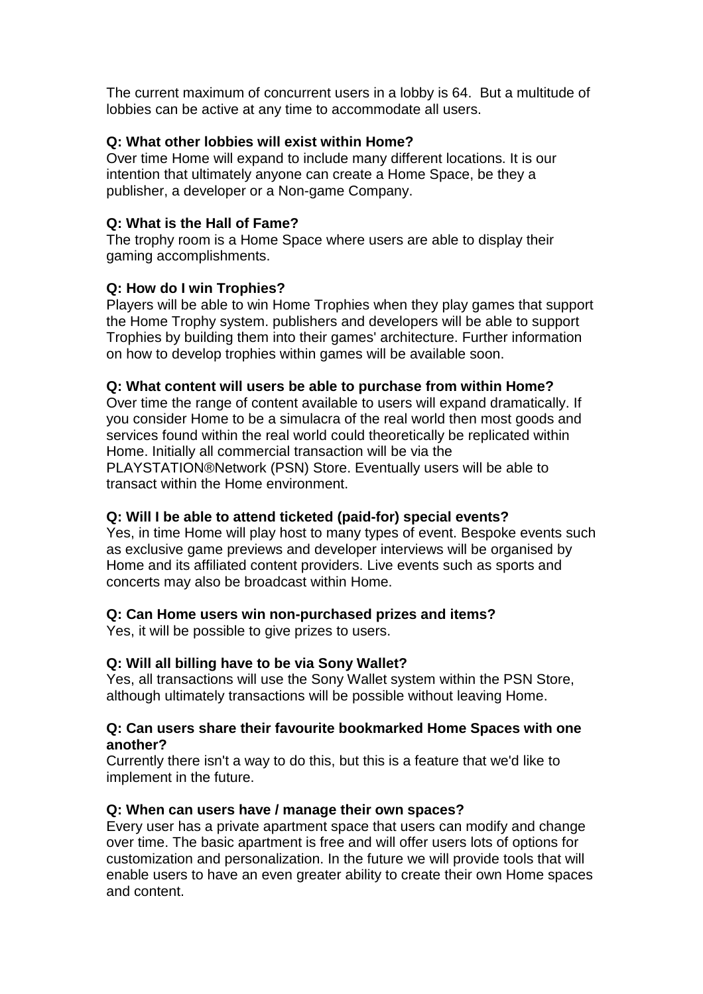The current maximum of concurrent users in a lobby is 64. But a multitude of lobbies can be active at any time to accommodate all users.

## **Q: What other lobbies will exist within Home?**

Over time Home will expand to include many different locations. It is our intention that ultimately anyone can create a Home Space, be they a publisher, a developer or a Non-game Company.

## **Q: What is the Hall of Fame?**

The trophy room is a Home Space where users are able to display their gaming accomplishments.

## **Q: How do I win Trophies?**

Players will be able to win Home Trophies when they play games that support the Home Trophy system. publishers and developers will be able to support Trophies by building them into their games' architecture. Further information on how to develop trophies within games will be available soon.

## **Q: What content will users be able to purchase from within Home?**

Over time the range of content available to users will expand dramatically. If you consider Home to be a simulacra of the real world then most goods and services found within the real world could theoretically be replicated within Home. Initially all commercial transaction will be via the PLAYSTATION®Network (PSN) Store. Eventually users will be able to transact within the Home environment.

# **Q: Will I be able to attend ticketed (paid-for) special events?**

Yes, in time Home will play host to many types of event. Bespoke events such as exclusive game previews and developer interviews will be organised by Home and its affiliated content providers. Live events such as sports and concerts may also be broadcast within Home.

# **Q: Can Home users win non-purchased prizes and items?**

Yes, it will be possible to give prizes to users.

## **Q: Will all billing have to be via Sony Wallet?**

Yes, all transactions will use the Sony Wallet system within the PSN Store, although ultimately transactions will be possible without leaving Home.

## **Q: Can users share their favourite bookmarked Home Spaces with one another?**

Currently there isn't a way to do this, but this is a feature that we'd like to implement in the future.

## **Q: When can users have / manage their own spaces?**

Every user has a private apartment space that users can modify and change over time. The basic apartment is free and will offer users lots of options for customization and personalization. In the future we will provide tools that will enable users to have an even greater ability to create their own Home spaces and content.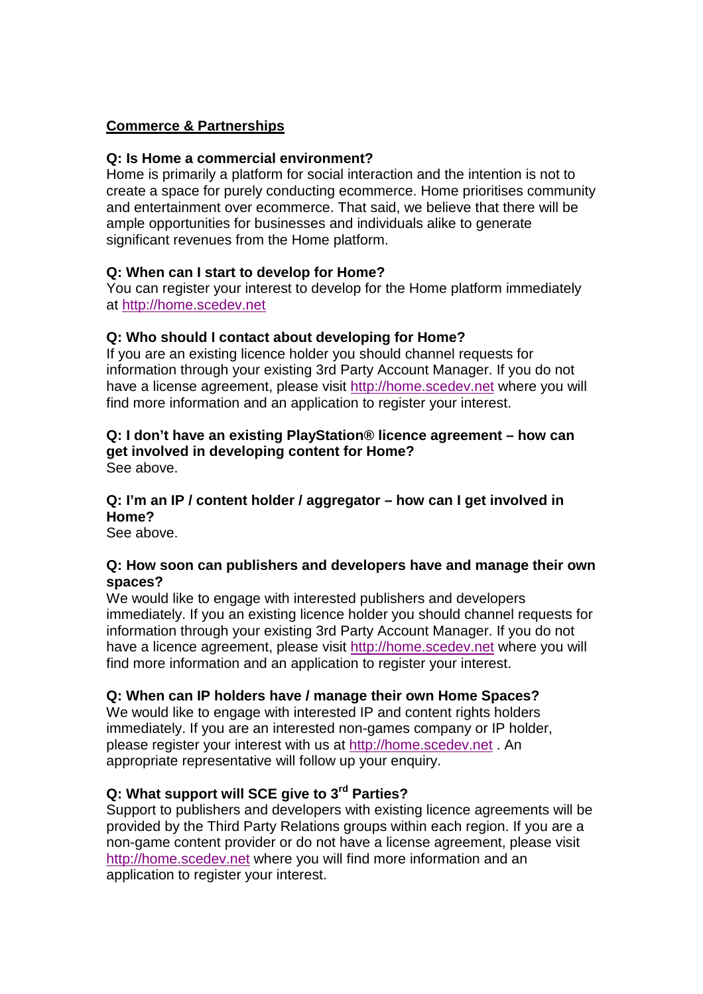## **Commerce & Partnerships**

## **Q: Is Home a commercial environment?**

Home is primarily a platform for social interaction and the intention is not to create a space for purely conducting ecommerce. Home prioritises community and entertainment over ecommerce. That said, we believe that there will be ample opportunities for businesses and individuals alike to generate significant revenues from the Home platform.

## **Q: When can I start to develop for Home?**

You can register your interest to develop for the Home platform immediately at http://home.scedev.net

## **Q: Who should I contact about developing for Home?**

If you are an existing licence holder you should channel requests for information through your existing 3rd Party Account Manager. If you do not have a license agreement, please visit http://home.scedev.net where you will find more information and an application to register your interest.

#### **Q: I don't have an existing PlayStation® licence agreement – how can get involved in developing content for Home?**

See above.

# **Q: I'm an IP / content holder / aggregator – how can I get involved in Home?**

See above.

#### **Q: How soon can publishers and developers have and manage their own spaces?**

We would like to engage with interested publishers and developers immediately. If you an existing licence holder you should channel requests for information through your existing 3rd Party Account Manager. If you do not have a licence agreement, please visit http://home.scedev.net where you will find more information and an application to register your interest.

## **Q: When can IP holders have / manage their own Home Spaces?**

We would like to engage with interested IP and content rights holders immediately. If you are an interested non-games company or IP holder, please register your interest with us at http://home.scedev.net . An appropriate representative will follow up your enquiry.

## **Q: What support will SCE give to 3rd Parties?**

Support to publishers and developers with existing licence agreements will be provided by the Third Party Relations groups within each region. If you are a non-game content provider or do not have a license agreement, please visit http://home.scedev.net where you will find more information and an application to register your interest.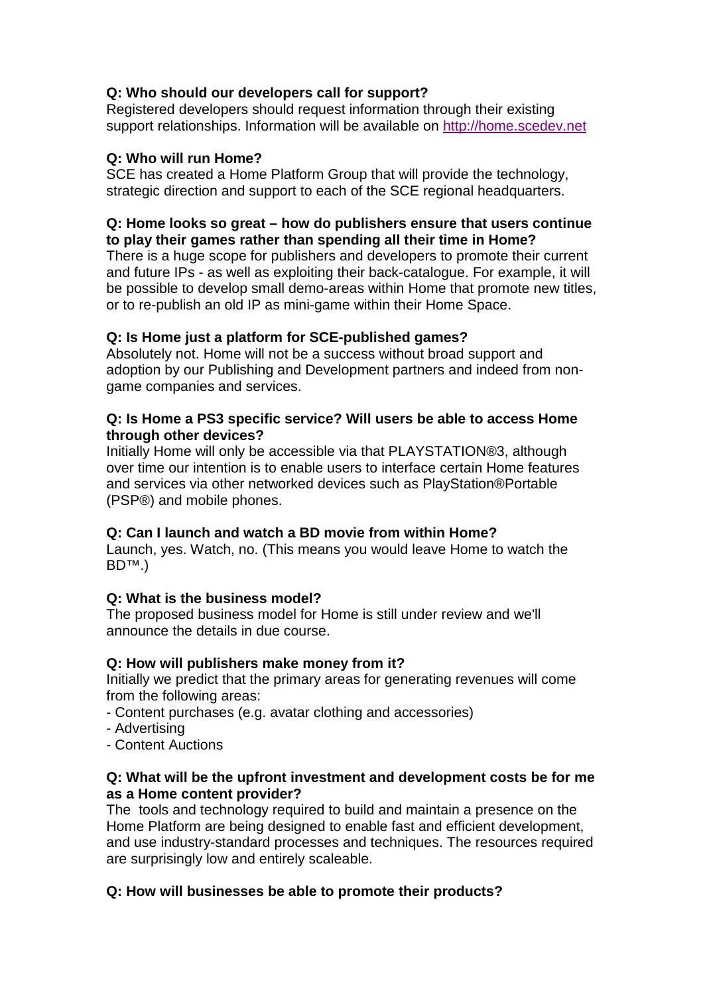# **Q: Who should our developers call for support?**

Registered developers should request information through their existing support relationships. Information will be available on http://home.scedev.net

## **Q: Who will run Home?**

SCE has created a Home Platform Group that will provide the technology, strategic direction and support to each of the SCE regional headquarters.

## **Q: Home looks so great – how do publishers ensure that users continue to play their games rather than spending all their time in Home?**

There is a huge scope for publishers and developers to promote their current and future IPs - as well as exploiting their back-catalogue. For example, it will be possible to develop small demo-areas within Home that promote new titles, or to re-publish an old IP as mini-game within their Home Space.

# **Q: Is Home just a platform for SCE-published games?**

Absolutely not. Home will not be a success without broad support and adoption by our Publishing and Development partners and indeed from nongame companies and services.

## **Q: Is Home a PS3 specific service? Will users be able to access Home through other devices?**

Initially Home will only be accessible via that PLAYSTATION®3, although over time our intention is to enable users to interface certain Home features and services via other networked devices such as PlayStation®Portable (PSP®) and mobile phones.

# **Q: Can I launch and watch a BD movie from within Home?**

Launch, yes. Watch, no. (This means you would leave Home to watch the BD™.)

## **Q: What is the business model?**

The proposed business model for Home is still under review and we'll announce the details in due course.

## **Q: How will publishers make money from it?**

Initially we predict that the primary areas for generating revenues will come from the following areas:

- Content purchases (e.g. avatar clothing and accessories)
- Advertising
- Content Auctions

## **Q: What will be the upfront investment and development costs be for me as a Home content provider?**

The tools and technology required to build and maintain a presence on the Home Platform are being designed to enable fast and efficient development, and use industry-standard processes and techniques. The resources required are surprisingly low and entirely scaleable.

# **Q: How will businesses be able to promote their products?**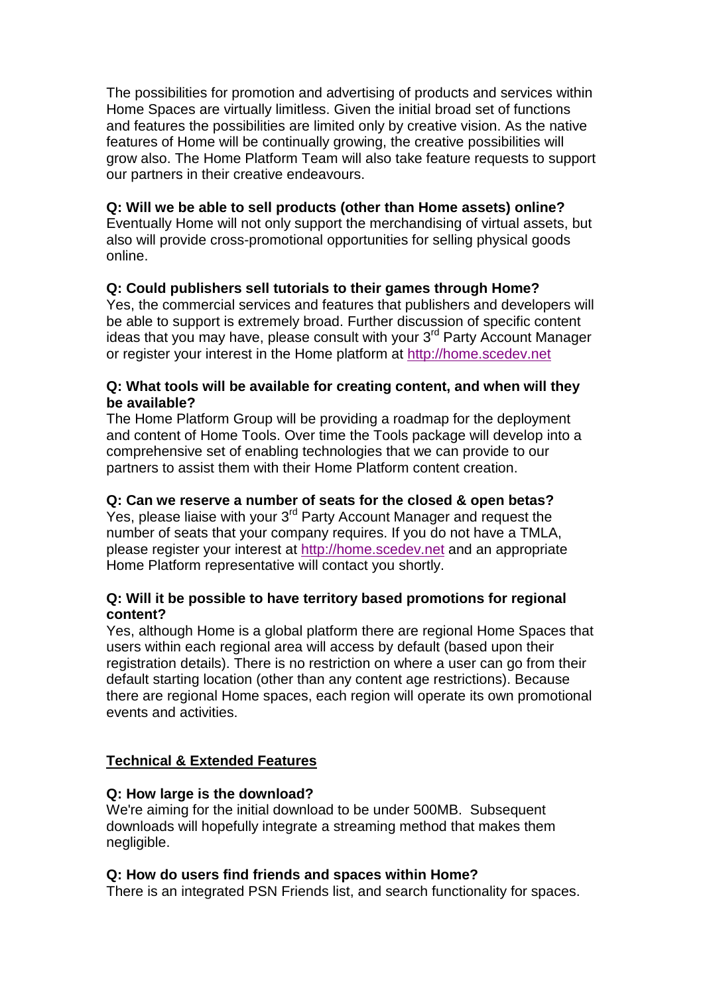The possibilities for promotion and advertising of products and services within Home Spaces are virtually limitless. Given the initial broad set of functions and features the possibilities are limited only by creative vision. As the native features of Home will be continually growing, the creative possibilities will grow also. The Home Platform Team will also take feature requests to support our partners in their creative endeavours.

## **Q: Will we be able to sell products (other than Home assets) online?**

Eventually Home will not only support the merchandising of virtual assets, but also will provide cross-promotional opportunities for selling physical goods online.

## **Q: Could publishers sell tutorials to their games through Home?**

Yes, the commercial services and features that publishers and developers will be able to support is extremely broad. Further discussion of specific content ideas that you may have, please consult with your  $3<sup>rd</sup>$  Party Account Manager or register your interest in the Home platform at http://home.scedev.net

## **Q: What tools will be available for creating content, and when will they be available?**

The Home Platform Group will be providing a roadmap for the deployment and content of Home Tools. Over time the Tools package will develop into a comprehensive set of enabling technologies that we can provide to our partners to assist them with their Home Platform content creation.

## **Q: Can we reserve a number of seats for the closed & open betas?**

Yes, please liaise with your 3<sup>rd</sup> Party Account Manager and request the number of seats that your company requires. If you do not have a TMLA, please register your interest at http://home.scedev.net and an appropriate Home Platform representative will contact you shortly.

## **Q: Will it be possible to have territory based promotions for regional content?**

Yes, although Home is a global platform there are regional Home Spaces that users within each regional area will access by default (based upon their registration details). There is no restriction on where a user can go from their default starting location (other than any content age restrictions). Because there are regional Home spaces, each region will operate its own promotional events and activities.

# **Technical & Extended Features**

## **Q: How large is the download?**

We're aiming for the initial download to be under 500MB. Subsequent downloads will hopefully integrate a streaming method that makes them negligible.

## **Q: How do users find friends and spaces within Home?**

There is an integrated PSN Friends list, and search functionality for spaces.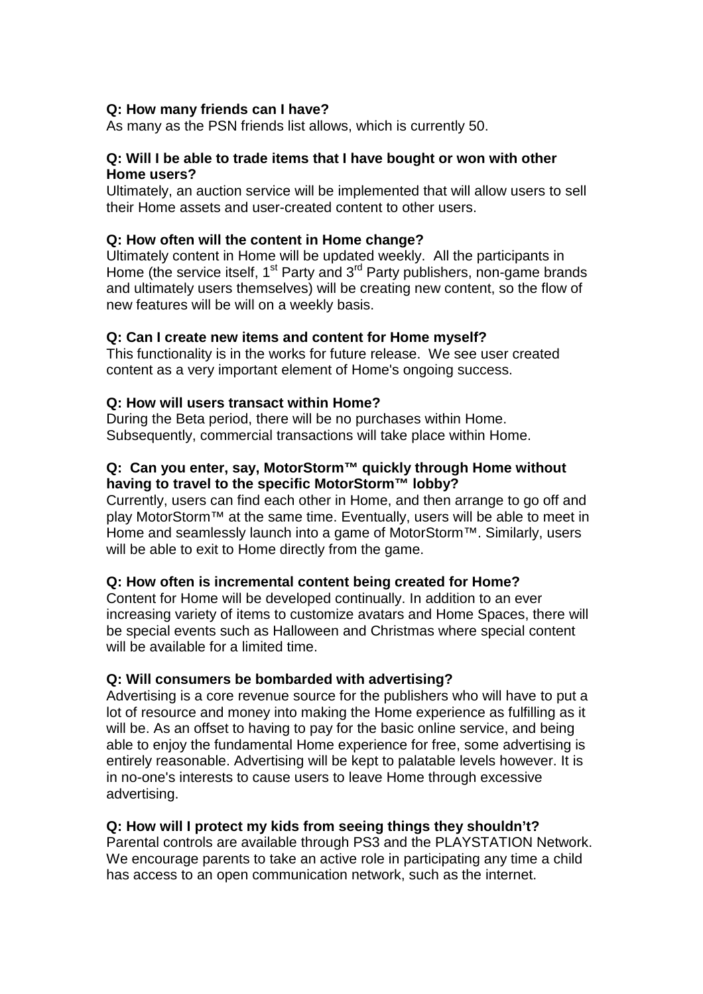### **Q: How many friends can I have?**

As many as the PSN friends list allows, which is currently 50.

## **Q: Will I be able to trade items that I have bought or won with other Home users?**

Ultimately, an auction service will be implemented that will allow users to sell their Home assets and user-created content to other users.

### **Q: How often will the content in Home change?**

Ultimately content in Home will be updated weekly. All the participants in Home (the service itself, 1<sup>st</sup> Party and 3<sup>rd</sup> Party publishers, non-game brands and ultimately users themselves) will be creating new content, so the flow of new features will be will on a weekly basis.

#### **Q: Can I create new items and content for Home myself?**

This functionality is in the works for future release. We see user created content as a very important element of Home's ongoing success.

#### **Q: How will users transact within Home?**

During the Beta period, there will be no purchases within Home. Subsequently, commercial transactions will take place within Home.

### **Q: Can you enter, say, MotorStorm™ quickly through Home without having to travel to the specific MotorStorm™ lobby?**

Currently, users can find each other in Home, and then arrange to go off and play MotorStorm™ at the same time. Eventually, users will be able to meet in Home and seamlessly launch into a game of MotorStorm™. Similarly, users will be able to exit to Home directly from the game.

#### **Q: How often is incremental content being created for Home?**

Content for Home will be developed continually. In addition to an ever increasing variety of items to customize avatars and Home Spaces, there will be special events such as Halloween and Christmas where special content will be available for a limited time.

#### **Q: Will consumers be bombarded with advertising?**

Advertising is a core revenue source for the publishers who will have to put a lot of resource and money into making the Home experience as fulfilling as it will be. As an offset to having to pay for the basic online service, and being able to enjoy the fundamental Home experience for free, some advertising is entirely reasonable. Advertising will be kept to palatable levels however. It is in no-one's interests to cause users to leave Home through excessive advertising.

## **Q: How will I protect my kids from seeing things they shouldn't?**

Parental controls are available through PS3 and the PLAYSTATION Network. We encourage parents to take an active role in participating any time a child has access to an open communication network, such as the internet.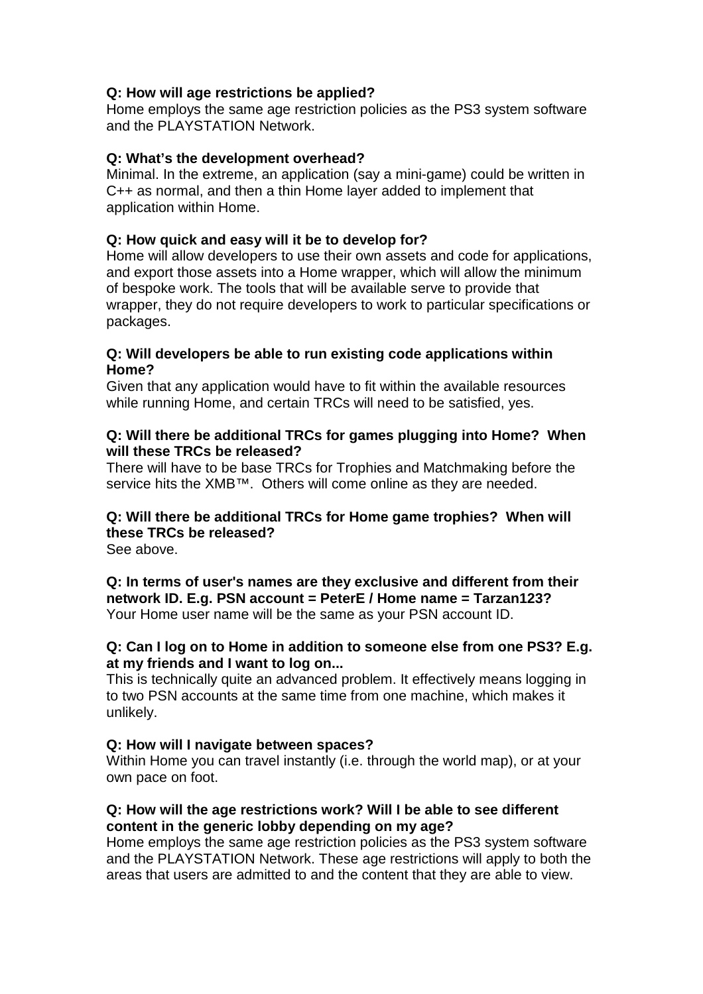## **Q: How will age restrictions be applied?**

Home employs the same age restriction policies as the PS3 system software and the PLAYSTATION Network.

## **Q: What's the development overhead?**

Minimal. In the extreme, an application (say a mini-game) could be written in C++ as normal, and then a thin Home layer added to implement that application within Home.

## **Q: How quick and easy will it be to develop for?**

Home will allow developers to use their own assets and code for applications, and export those assets into a Home wrapper, which will allow the minimum of bespoke work. The tools that will be available serve to provide that wrapper, they do not require developers to work to particular specifications or packages.

### **Q: Will developers be able to run existing code applications within Home?**

Given that any application would have to fit within the available resources while running Home, and certain TRCs will need to be satisfied, yes.

## **Q: Will there be additional TRCs for games plugging into Home? When will these TRCs be released?**

There will have to be base TRCs for Trophies and Matchmaking before the service hits the XMB™. Others will come online as they are needed.

# **Q: Will there be additional TRCs for Home game trophies? When will these TRCs be released?**

See above.

**Q: In terms of user's names are they exclusive and different from their network ID. E.g. PSN account = PeterE / Home name = Tarzan123?**  Your Home user name will be the same as your PSN account ID.

## **Q: Can I log on to Home in addition to someone else from one PS3? E.g. at my friends and I want to log on...**

This is technically quite an advanced problem. It effectively means logging in to two PSN accounts at the same time from one machine, which makes it unlikely.

## **Q: How will I navigate between spaces?**

Within Home you can travel instantly (i.e. through the world map), or at your own pace on foot.

## **Q: How will the age restrictions work? Will I be able to see different content in the generic lobby depending on my age?**

Home employs the same age restriction policies as the PS3 system software and the PLAYSTATION Network. These age restrictions will apply to both the areas that users are admitted to and the content that they are able to view.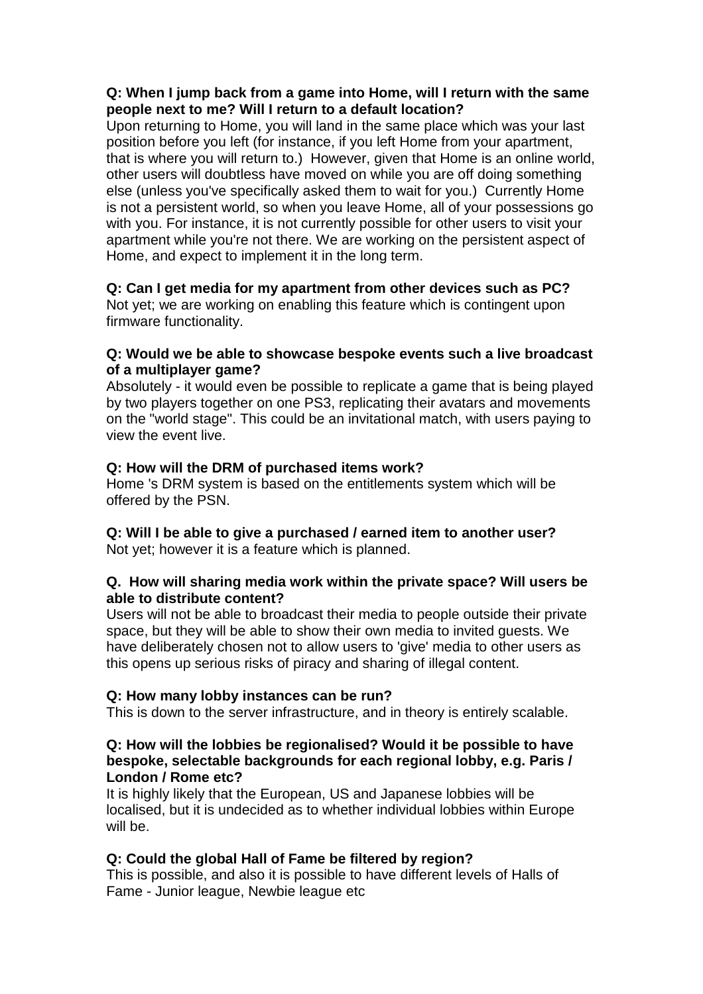## **Q: When I jump back from a game into Home, will I return with the same people next to me? Will I return to a default location?**

Upon returning to Home, you will land in the same place which was your last position before you left (for instance, if you left Home from your apartment, that is where you will return to.) However, given that Home is an online world, other users will doubtless have moved on while you are off doing something else (unless you've specifically asked them to wait for you.) Currently Home is not a persistent world, so when you leave Home, all of your possessions go with you. For instance, it is not currently possible for other users to visit your apartment while you're not there. We are working on the persistent aspect of Home, and expect to implement it in the long term.

# **Q: Can I get media for my apartment from other devices such as PC?**

Not yet; we are working on enabling this feature which is contingent upon firmware functionality.

## **Q: Would we be able to showcase bespoke events such a live broadcast of a multiplayer game?**

Absolutely - it would even be possible to replicate a game that is being played by two players together on one PS3, replicating their avatars and movements on the "world stage". This could be an invitational match, with users paying to view the event live.

# **Q: How will the DRM of purchased items work?**

Home 's DRM system is based on the entitlements system which will be offered by the PSN.

#### **Q: Will I be able to give a purchased / earned item to another user?**  Not yet; however it is a feature which is planned.

## **Q. How will sharing media work within the private space? Will users be able to distribute content?**

Users will not be able to broadcast their media to people outside their private space, but they will be able to show their own media to invited guests. We have deliberately chosen not to allow users to 'give' media to other users as this opens up serious risks of piracy and sharing of illegal content.

# **Q: How many lobby instances can be run?**

This is down to the server infrastructure, and in theory is entirely scalable.

## **Q: How will the lobbies be regionalised? Would it be possible to have bespoke, selectable backgrounds for each regional lobby, e.g. Paris / London / Rome etc?**

It is highly likely that the European, US and Japanese lobbies will be localised, but it is undecided as to whether individual lobbies within Europe will be.

# **Q: Could the global Hall of Fame be filtered by region?**

This is possible, and also it is possible to have different levels of Halls of Fame - Junior league, Newbie league etc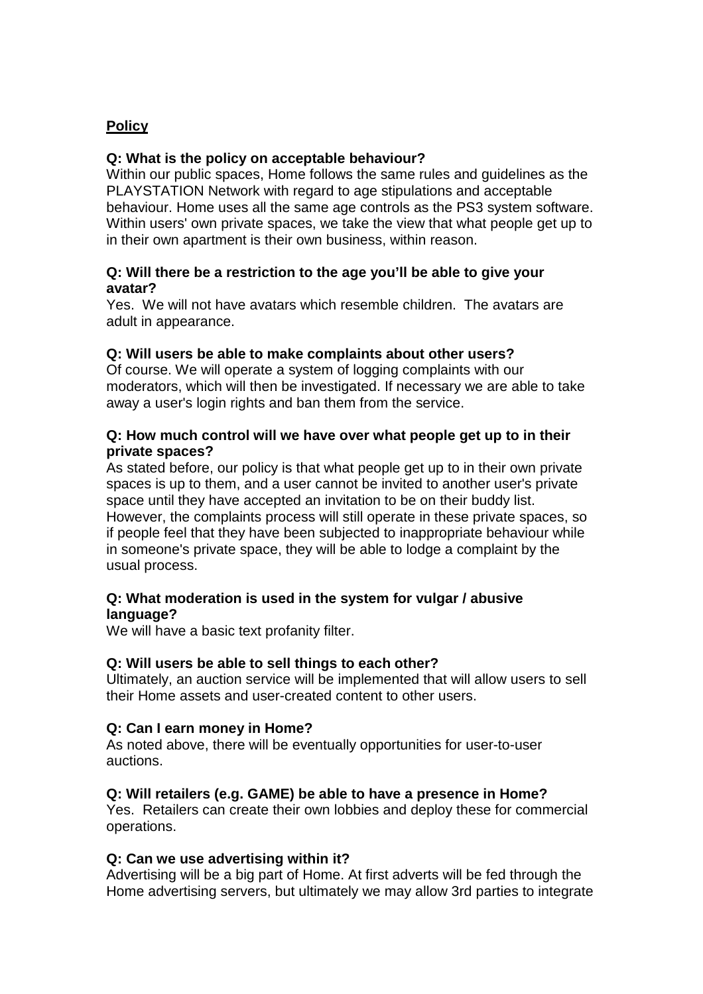## **Policy**

## **Q: What is the policy on acceptable behaviour?**

Within our public spaces, Home follows the same rules and guidelines as the PLAYSTATION Network with regard to age stipulations and acceptable behaviour. Home uses all the same age controls as the PS3 system software. Within users' own private spaces, we take the view that what people get up to in their own apartment is their own business, within reason.

## **Q: Will there be a restriction to the age you'll be able to give your avatar?**

Yes. We will not have avatars which resemble children. The avatars are adult in appearance.

## **Q: Will users be able to make complaints about other users?**

Of course. We will operate a system of logging complaints with our moderators, which will then be investigated. If necessary we are able to take away a user's login rights and ban them from the service.

## **Q: How much control will we have over what people get up to in their private spaces?**

As stated before, our policy is that what people get up to in their own private spaces is up to them, and a user cannot be invited to another user's private space until they have accepted an invitation to be on their buddy list. However, the complaints process will still operate in these private spaces, so if people feel that they have been subjected to inappropriate behaviour while in someone's private space, they will be able to lodge a complaint by the usual process.

## **Q: What moderation is used in the system for vulgar / abusive language?**

We will have a basic text profanity filter.

## **Q: Will users be able to sell things to each other?**

Ultimately, an auction service will be implemented that will allow users to sell their Home assets and user-created content to other users.

## **Q: Can I earn money in Home?**

As noted above, there will be eventually opportunities for user-to-user auctions.

## **Q: Will retailers (e.g. GAME) be able to have a presence in Home?**

Yes. Retailers can create their own lobbies and deploy these for commercial operations.

#### **Q: Can we use advertising within it?**

Advertising will be a big part of Home. At first adverts will be fed through the Home advertising servers, but ultimately we may allow 3rd parties to integrate